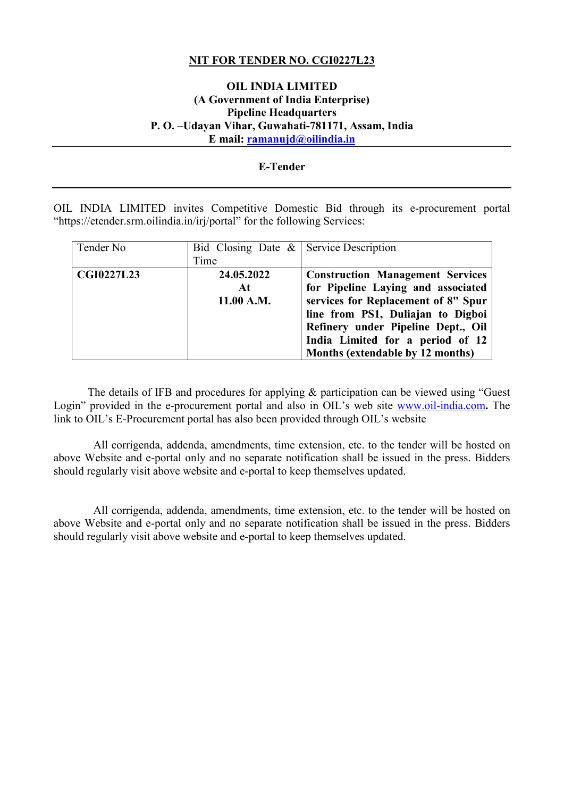# **NIT FOR TENDER NO. CGI0227L23**

# **OIL INDIA LIMITED (A Government of India Enterprise) Pipeline Headquarters P. O. –Udayan Vihar, Guwahati-781171, Assam, India E mail: [ramanujd@oilindia.in](mailto:ramanujd@oilindia.in)**

# **E-Tender**

OIL INDIA LIMITED invites Competitive Domestic Bid through its e-procurement portal "https://etender.srm.oilindia.in/irj/portal" for the following Services:

| Tender No         | Bid Closing Date $\&$ Service Description |                                                                                                                                                                                                                                     |
|-------------------|-------------------------------------------|-------------------------------------------------------------------------------------------------------------------------------------------------------------------------------------------------------------------------------------|
|                   | Time                                      |                                                                                                                                                                                                                                     |
| <b>CGI0227L23</b> | 24.05.2022<br>At<br>11.00 A.M.            | <b>Construction Management Services</b><br>for Pipeline Laying and associated<br>services for Replacement of 8" Spur<br>line from PS1, Duliajan to Digboi<br>Refinery under Pipeline Dept., Oil<br>India Limited for a period of 12 |
|                   |                                           | Months (extendable by 12 months)                                                                                                                                                                                                    |

The details of IFB and procedures for applying & participation can be viewed using "Guest" Login" provided in the e-procurement portal and also in OIL's web site [www.oil-india.com](http://www.oil-india.com/)**.** The link to OIL's E-Procurement portal has also been provided through OIL's website

 All corrigenda, addenda, amendments, time extension, etc. to the tender will be hosted on above Website and e-portal only and no separate notification shall be issued in the press. Bidders should regularly visit above website and e-portal to keep themselves updated.

 All corrigenda, addenda, amendments, time extension, etc. to the tender will be hosted on above Website and e-portal only and no separate notification shall be issued in the press. Bidders should regularly visit above website and e-portal to keep themselves updated.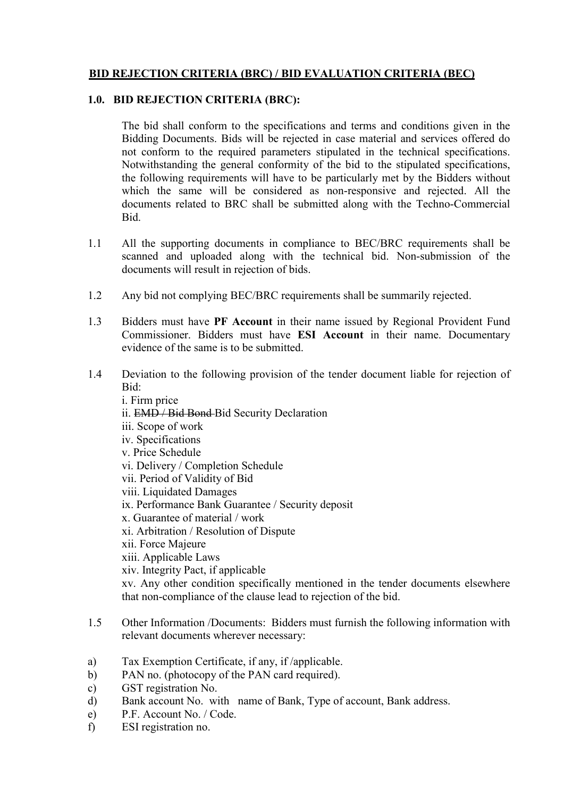# **BID REJECTION CRITERIA (BRC) / BID EVALUATION CRITERIA (BEC)**

# **1.0. BID REJECTION CRITERIA (BRC):**

The bid shall conform to the specifications and terms and conditions given in the Bidding Documents. Bids will be rejected in case material and services offered do not conform to the required parameters stipulated in the technical specifications. Notwithstanding the general conformity of the bid to the stipulated specifications, the following requirements will have to be particularly met by the Bidders without which the same will be considered as non-responsive and rejected. All the documents related to BRC shall be submitted along with the Techno-Commercial Bid.

- 1.1 All the supporting documents in compliance to BEC/BRC requirements shall be scanned and uploaded along with the technical bid. Non-submission of the documents will result in rejection of bids.
- 1.2 Any bid not complying BEC/BRC requirements shall be summarily rejected.
- 1.3 Bidders must have **PF Account** in their name issued by Regional Provident Fund Commissioner. Bidders must have **ESI Account** in their name. Documentary evidence of the same is to be submitted.
- 1.4 Deviation to the following provision of the tender document liable for rejection of Bid:
	- i. Firm price ii. EMD / Bid Bond Bid Security Declaration iii. Scope of work iv. Specifications v. Price Schedule vi. Delivery / Completion Schedule vii. Period of Validity of Bid viii. Liquidated Damages ix. Performance Bank Guarantee / Security deposit x. Guarantee of material / work xi. Arbitration / Resolution of Dispute xii. Force Majeure xiii. Applicable Laws xiv. Integrity Pact, if applicable xv. Any other condition specifically mentioned in the tender documents elsewhere that non-compliance of the clause lead to rejection of the bid.
- 1.5 Other Information /Documents: Bidders must furnish the following information with relevant documents wherever necessary:
- a) Tax Exemption Certificate, if any, if /applicable.
- b) PAN no. (photocopy of the PAN card required).
- c) GST registration No.
- d) Bank account No. with name of Bank, Type of account, Bank address.
- e) P.F. Account No. / Code.
- f) ESI registration no.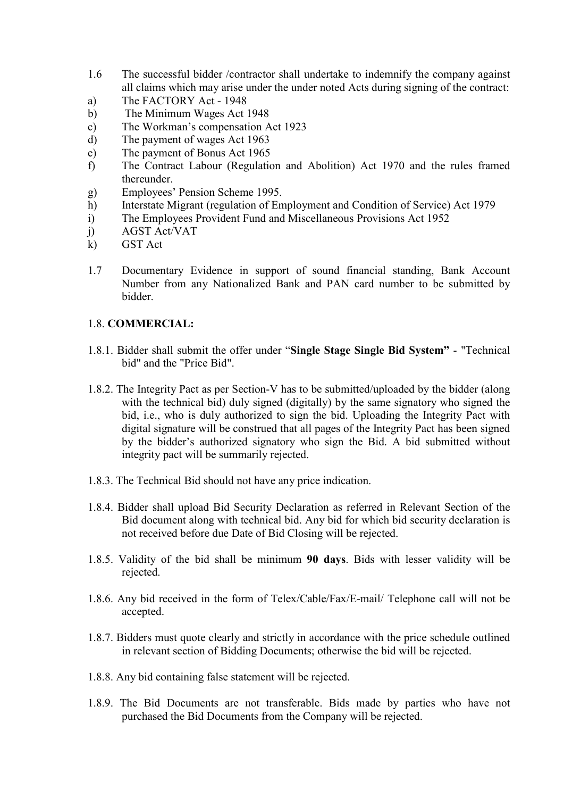- 1.6 The successful bidder /contractor shall undertake to indemnify the company against all claims which may arise under the under noted Acts during signing of the contract:
- a) The FACTORY Act 1948
- b) The Minimum Wages Act 1948
- c) The Workman's compensation Act 1923<br>d) The payment of wages Act 1963
- The payment of wages Act 1963
- e) The payment of Bonus Act 1965
- f) The Contract Labour (Regulation and Abolition) Act 1970 and the rules framed thereunder.
- g) Employees' Pension Scheme 1995.
- h) Interstate Migrant (regulation of Employment and Condition of Service) Act 1979
- i) The Employees Provident Fund and Miscellaneous Provisions Act 1952
- j) AGST Act/VAT
- k) GST Act
- 1.7 Documentary Evidence in support of sound financial standing, Bank Account Number from any Nationalized Bank and PAN card number to be submitted by bidder.

# 1.8. **COMMERCIAL:**

- 1.8.1. Bidder shall submit the offer under "**Single Stage Single Bid System"** "Technical bid" and the "Price Bid".
- 1.8.2. The Integrity Pact as per Section-V has to be submitted/uploaded by the bidder (along with the technical bid) duly signed (digitally) by the same signatory who signed the bid, i.e., who is duly authorized to sign the bid. Uploading the Integrity Pact with digital signature will be construed that all pages of the Integrity Pact has been signed by the bidder's authorized signatory who sign the Bid. A bid submitted without integrity pact will be summarily rejected.
- 1.8.3. The Technical Bid should not have any price indication.
- 1.8.4. Bidder shall upload Bid Security Declaration as referred in Relevant Section of the Bid document along with technical bid. Any bid for which bid security declaration is not received before due Date of Bid Closing will be rejected.
- 1.8.5. Validity of the bid shall be minimum **90 days**. Bids with lesser validity will be rejected.
- 1.8.6. Any bid received in the form of Telex/Cable/Fax/E-mail/ Telephone call will not be accepted.
- 1.8.7. Bidders must quote clearly and strictly in accordance with the price schedule outlined in relevant section of Bidding Documents; otherwise the bid will be rejected.
- 1.8.8. Any bid containing false statement will be rejected.
- 1.8.9. The Bid Documents are not transferable. Bids made by parties who have not purchased the Bid Documents from the Company will be rejected.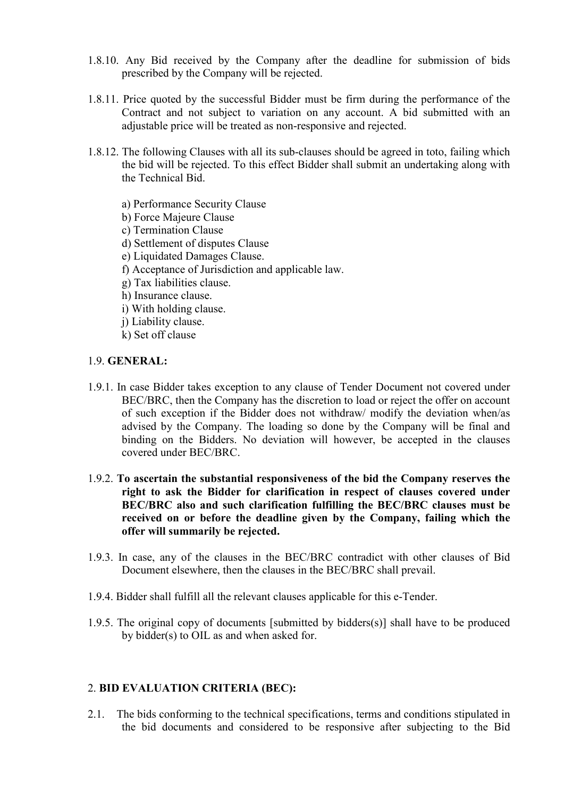- 1.8.10. Any Bid received by the Company after the deadline for submission of bids prescribed by the Company will be rejected.
- 1.8.11. Price quoted by the successful Bidder must be firm during the performance of the Contract and not subject to variation on any account. A bid submitted with an adjustable price will be treated as non-responsive and rejected.
- 1.8.12. The following Clauses with all its sub-clauses should be agreed in toto, failing which the bid will be rejected. To this effect Bidder shall submit an undertaking along with the Technical Bid.
	- a) Performance Security Clause
	- b) Force Majeure Clause
	- c) Termination Clause
	- d) Settlement of disputes Clause
	- e) Liquidated Damages Clause.
	- f) Acceptance of Jurisdiction and applicable law.
	- g) Tax liabilities clause.
	- h) Insurance clause.
	- i) With holding clause.
	- j) Liability clause.
	- k) Set off clause

# 1.9. **GENERAL:**

- 1.9.1. In case Bidder takes exception to any clause of Tender Document not covered under BEC/BRC, then the Company has the discretion to load or reject the offer on account of such exception if the Bidder does not withdraw/ modify the deviation when/as advised by the Company. The loading so done by the Company will be final and binding on the Bidders. No deviation will however, be accepted in the clauses covered under BEC/BRC.
- 1.9.2. **To ascertain the substantial responsiveness of the bid the Company reserves the right to ask the Bidder for clarification in respect of clauses covered under BEC/BRC also and such clarification fulfilling the BEC/BRC clauses must be received on or before the deadline given by the Company, failing which the offer will summarily be rejected.**
- 1.9.3. In case, any of the clauses in the BEC/BRC contradict with other clauses of Bid Document elsewhere, then the clauses in the BEC/BRC shall prevail.
- 1.9.4. Bidder shall fulfill all the relevant clauses applicable for this e-Tender.
- 1.9.5. The original copy of documents [submitted by bidders(s)] shall have to be produced by bidder(s) to OIL as and when asked for.

# 2. **BID EVALUATION CRITERIA (BEC):**

2.1. The bids conforming to the technical specifications, terms and conditions stipulated in the bid documents and considered to be responsive after subjecting to the Bid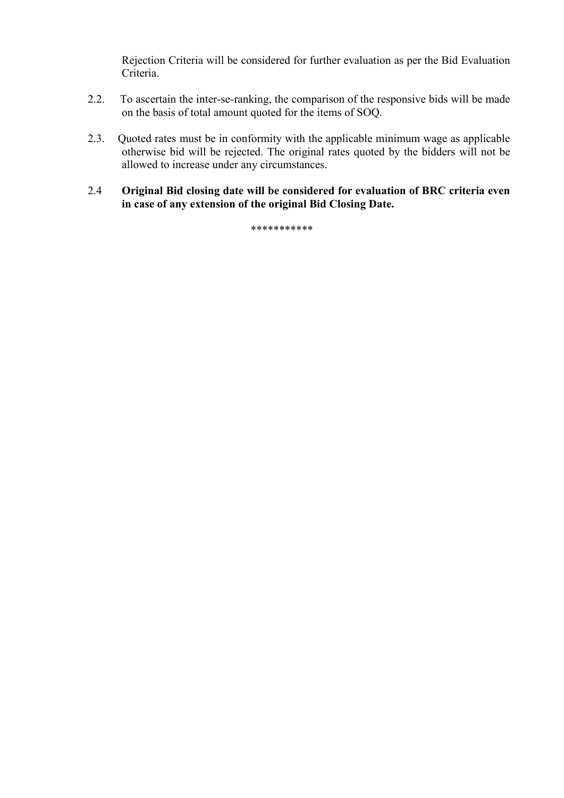Rejection Criteria will be considered for further evaluation as per the Bid Evaluation Criteria.

- 2.2. To ascertain the inter-se-ranking, the comparison of the responsive bids will be made on the basis of total amount quoted for the items of SOQ.
- 2.3. Quoted rates must be in conformity with the applicable minimum wage as applicable otherwise bid will be rejected. The original rates quoted by the bidders will not be allowed to increase under any circumstances.
- 2.4 **Original Bid closing date will be considered for evaluation of BRC criteria even in case of any extension of the original Bid Closing Date.**

\*\*\*\*\*\*\*\*\*\*\*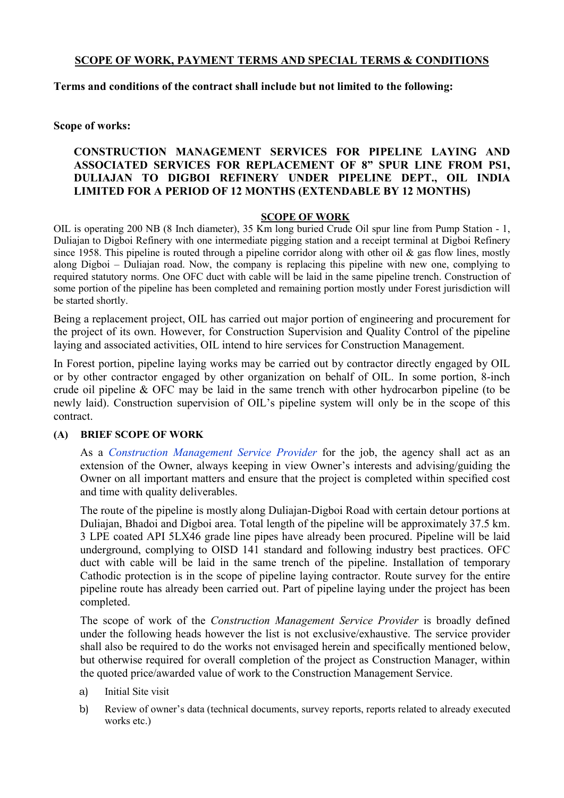# **SCOPE OF WORK, PAYMENT TERMS AND SPECIAL TERMS & CONDITIONS**

## **Terms and conditions of the contract shall include but not limited to the following:**

## **Scope of works:**

# **CONSTRUCTION MANAGEMENT SERVICES FOR PIPELINE LAYING AND ASSOCIATED SERVICES FOR REPLACEMENT OF 8" SPUR LINE FROM PS1, DULIAJAN TO DIGBOI REFINERY UNDER PIPELINE DEPT., OIL INDIA LIMITED FOR A PERIOD OF 12 MONTHS (EXTENDABLE BY 12 MONTHS)**

## **SCOPE OF WORK**

OIL is operating 200 NB (8 Inch diameter), 35 Km long buried Crude Oil spur line from Pump Station - 1, Duliajan to Digboi Refinery with one intermediate pigging station and a receipt terminal at Digboi Refinery since 1958. This pipeline is routed through a pipeline corridor along with other oil  $\&$  gas flow lines, mostly along Digboi – Duliajan road. Now, the company is replacing this pipeline with new one, complying to required statutory norms. One OFC duct with cable will be laid in the same pipeline trench. Construction of some portion of the pipeline has been completed and remaining portion mostly under Forest jurisdiction will be started shortly.

Being a replacement project, OIL has carried out major portion of engineering and procurement for the project of its own. However, for Construction Supervision and Quality Control of the pipeline laying and associated activities, OIL intend to hire services for Construction Management.

In Forest portion, pipeline laying works may be carried out by contractor directly engaged by OIL or by other contractor engaged by other organization on behalf of OIL. In some portion, 8-inch crude oil pipeline & OFC may be laid in the same trench with other hydrocarbon pipeline (to be newly laid). Construction supervision of OIL's pipeline system will only be in the scope of this contract.

#### **(A) BRIEF SCOPE OF WORK**

As a *Construction Management Service Provider* for the job, the agency shall act as an extension of the Owner, always keeping in view Owner's interests and advising/guiding the Owner on all important matters and ensure that the project is completed within specified cost and time with quality deliverables.

The route of the pipeline is mostly along Duliajan-Digboi Road with certain detour portions at Duliajan, Bhadoi and Digboi area. Total length of the pipeline will be approximately 37.5 km. 3 LPE coated API 5LX46 grade line pipes have already been procured. Pipeline will be laid underground, complying to OISD 141 standard and following industry best practices. OFC duct with cable will be laid in the same trench of the pipeline. Installation of temporary Cathodic protection is in the scope of pipeline laying contractor. Route survey for the entire pipeline route has already been carried out. Part of pipeline laying under the project has been completed.

The scope of work of the *Construction Management Service Provider* is broadly defined under the following heads however the list is not exclusive/exhaustive. The service provider shall also be required to do the works not envisaged herein and specifically mentioned below, but otherwise required for overall completion of the project as Construction Manager, within the quoted price/awarded value of work to the Construction Management Service.

- a) Initial Site visit
- b) Review of owner's data (technical documents, survey reports, reports related to already executed works etc.)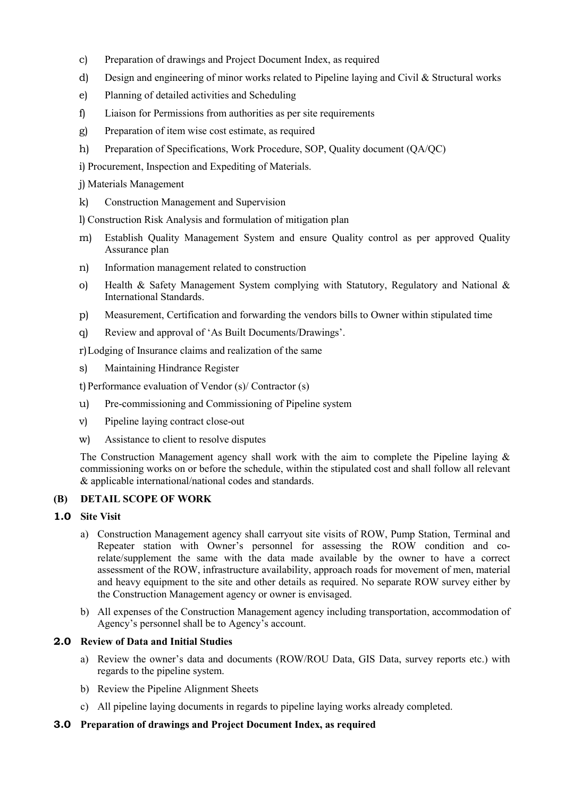- c) Preparation of drawings and Project Document Index, as required
- d) Design and engineering of minor works related to Pipeline laying and Civil & Structural works
- e) Planning of detailed activities and Scheduling
- f) Liaison for Permissions from authorities as per site requirements
- g) Preparation of item wise cost estimate, as required
- h) Preparation of Specifications, Work Procedure, SOP, Quality document (QA/QC)

i) Procurement, Inspection and Expediting of Materials.

j) Materials Management

k) Construction Management and Supervision

l) Construction Risk Analysis and formulation of mitigation plan

- m) Establish Quality Management System and ensure Quality control as per approved Quality Assurance plan
- n) Information management related to construction
- o) Health & Safety Management System complying with Statutory, Regulatory and National & International Standards.
- p) Measurement, Certification and forwarding the vendors bills to Owner within stipulated time
- q) Review and approval of 'As Built Documents/Drawings'.

r)Lodging of Insurance claims and realization of the same

s) Maintaining Hindrance Register

t) Performance evaluation of Vendor  $(s)$  Contractor  $(s)$ 

- u) Pre-commissioning and Commissioning of Pipeline system
- v) Pipeline laying contract close-out
- w) Assistance to client to resolve disputes

The Construction Management agency shall work with the aim to complete the Pipeline laying & commissioning works on or before the schedule, within the stipulated cost and shall follow all relevant & applicable international/national codes and standards.

# **(B) DETAIL SCOPE OF WORK**

# **1.0 Site Visit**

- a) Construction Management agency shall carryout site visits of ROW, Pump Station, Terminal and Repeater station with Owner's personnel for assessing the ROW condition and corelate/supplement the same with the data made available by the owner to have a correct assessment of the ROW, infrastructure availability, approach roads for movement of men, material and heavy equipment to the site and other details as required. No separate ROW survey either by the Construction Management agency or owner is envisaged.
- b) All expenses of the Construction Management agency including transportation, accommodation of Agency's personnel shall be to Agency's account.

# **2.0 Review of Data and Initial Studies**

- a) Review the owner's data and documents (ROW/ROU Data, GIS Data, survey reports etc.) with regards to the pipeline system.
- b) Review the Pipeline Alignment Sheets
- c) All pipeline laying documents in regards to pipeline laying works already completed.

# **3.0 Preparation of drawings and Project Document Index, as required**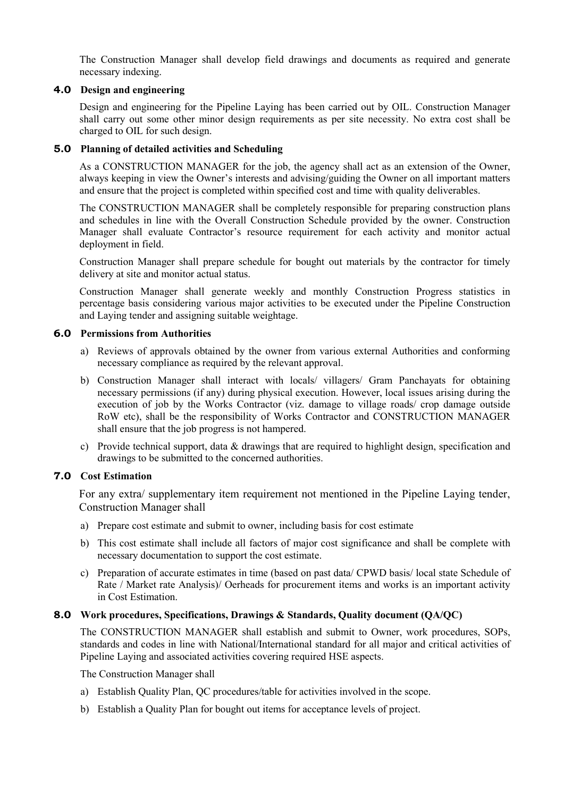The Construction Manager shall develop field drawings and documents as required and generate necessary indexing.

## **4.0 Design and engineering**

Design and engineering for the Pipeline Laying has been carried out by OIL. Construction Manager shall carry out some other minor design requirements as per site necessity. No extra cost shall be charged to OIL for such design.

## **5.0 Planning of detailed activities and Scheduling**

As a CONSTRUCTION MANAGER for the job, the agency shall act as an extension of the Owner, always keeping in view the Owner's interests and advising/guiding the Owner on all important matters and ensure that the project is completed within specified cost and time with quality deliverables.

The CONSTRUCTION MANAGER shall be completely responsible for preparing construction plans and schedules in line with the Overall Construction Schedule provided by the owner. Construction Manager shall evaluate Contractor's resource requirement for each activity and monitor actual deployment in field.

Construction Manager shall prepare schedule for bought out materials by the contractor for timely delivery at site and monitor actual status.

Construction Manager shall generate weekly and monthly Construction Progress statistics in percentage basis considering various major activities to be executed under the Pipeline Construction and Laying tender and assigning suitable weightage.

## **6.0 Permissions from Authorities**

- a) Reviews of approvals obtained by the owner from various external Authorities and conforming necessary compliance as required by the relevant approval.
- b) Construction Manager shall interact with locals/ villagers/ Gram Panchayats for obtaining necessary permissions (if any) during physical execution. However, local issues arising during the execution of job by the Works Contractor (viz. damage to village roads/ crop damage outside RoW etc), shall be the responsibility of Works Contractor and CONSTRUCTION MANAGER shall ensure that the job progress is not hampered.
- c) Provide technical support, data & drawings that are required to highlight design, specification and drawings to be submitted to the concerned authorities.

# **7.0 Cost Estimation**

For any extra/ supplementary item requirement not mentioned in the Pipeline Laying tender, Construction Manager shall

- a) Prepare cost estimate and submit to owner, including basis for cost estimate
- b) This cost estimate shall include all factors of major cost significance and shall be complete with necessary documentation to support the cost estimate.
- c) Preparation of accurate estimates in time (based on past data/ CPWD basis/ local state Schedule of Rate / Market rate Analysis)/ Oerheads for procurement items and works is an important activity in Cost Estimation.

#### **8.0 Work procedures, Specifications, Drawings & Standards, Quality document (QA/QC)**

The CONSTRUCTION MANAGER shall establish and submit to Owner, work procedures, SOPs, standards and codes in line with National/International standard for all major and critical activities of Pipeline Laying and associated activities covering required HSE aspects.

The Construction Manager shall

- a) Establish Quality Plan, QC procedures/table for activities involved in the scope.
- b) Establish a Quality Plan for bought out items for acceptance levels of project.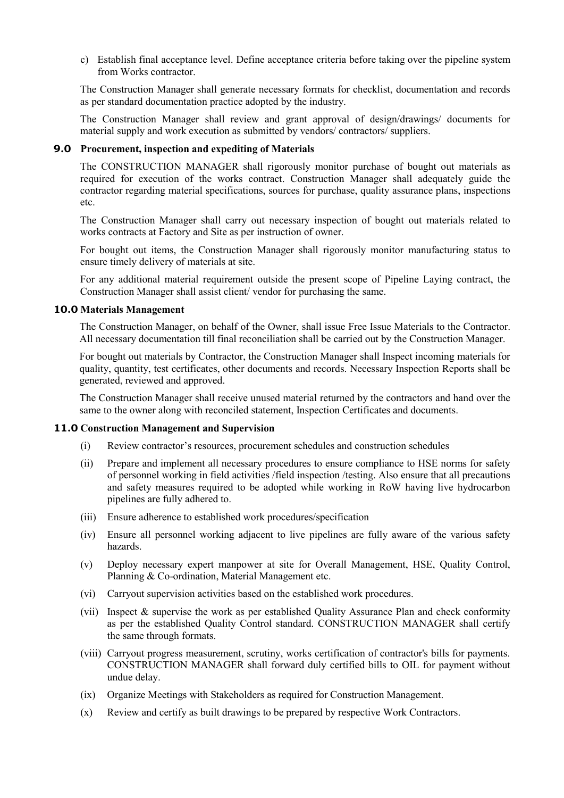c) Establish final acceptance level. Define acceptance criteria before taking over the pipeline system from Works contractor.

The Construction Manager shall generate necessary formats for checklist, documentation and records as per standard documentation practice adopted by the industry.

The Construction Manager shall review and grant approval of design/drawings/ documents for material supply and work execution as submitted by vendors/ contractors/ suppliers.

#### **9.0 Procurement, inspection and expediting of Materials**

The CONSTRUCTION MANAGER shall rigorously monitor purchase of bought out materials as required for execution of the works contract. Construction Manager shall adequately guide the contractor regarding material specifications, sources for purchase, quality assurance plans, inspections etc.

The Construction Manager shall carry out necessary inspection of bought out materials related to works contracts at Factory and Site as per instruction of owner.

For bought out items, the Construction Manager shall rigorously monitor manufacturing status to ensure timely delivery of materials at site.

For any additional material requirement outside the present scope of Pipeline Laying contract, the Construction Manager shall assist client/ vendor for purchasing the same.

#### **10.0 Materials Management**

The Construction Manager, on behalf of the Owner, shall issue Free Issue Materials to the Contractor. All necessary documentation till final reconciliation shall be carried out by the Construction Manager.

For bought out materials by Contractor, the Construction Manager shall Inspect incoming materials for quality, quantity, test certificates, other documents and records. Necessary Inspection Reports shall be generated, reviewed and approved.

The Construction Manager shall receive unused material returned by the contractors and hand over the same to the owner along with reconciled statement, Inspection Certificates and documents.

#### **11.0 Construction Management and Supervision**

- (i) Review contractor's resources, procurement schedules and construction schedules
- (ii) Prepare and implement all necessary procedures to ensure compliance to HSE norms for safety of personnel working in field activities /field inspection /testing. Also ensure that all precautions and safety measures required to be adopted while working in RoW having live hydrocarbon pipelines are fully adhered to.
- (iii) Ensure adherence to established work procedures/specification
- (iv) Ensure all personnel working adjacent to live pipelines are fully aware of the various safety hazards.
- (v) Deploy necessary expert manpower at site for Overall Management, HSE, Quality Control, Planning & Co-ordination, Material Management etc.
- (vi) Carryout supervision activities based on the established work procedures.
- (vii) Inspect & supervise the work as per established Quality Assurance Plan and check conformity as per the established Quality Control standard. CONSTRUCTION MANAGER shall certify the same through formats.
- (viii) Carryout progress measurement, scrutiny, works certification of contractor's bills for payments. CONSTRUCTION MANAGER shall forward duly certified bills to OIL for payment without undue delay.
- (ix) Organize Meetings with Stakeholders as required for Construction Management.
- (x) Review and certify as built drawings to be prepared by respective Work Contractors.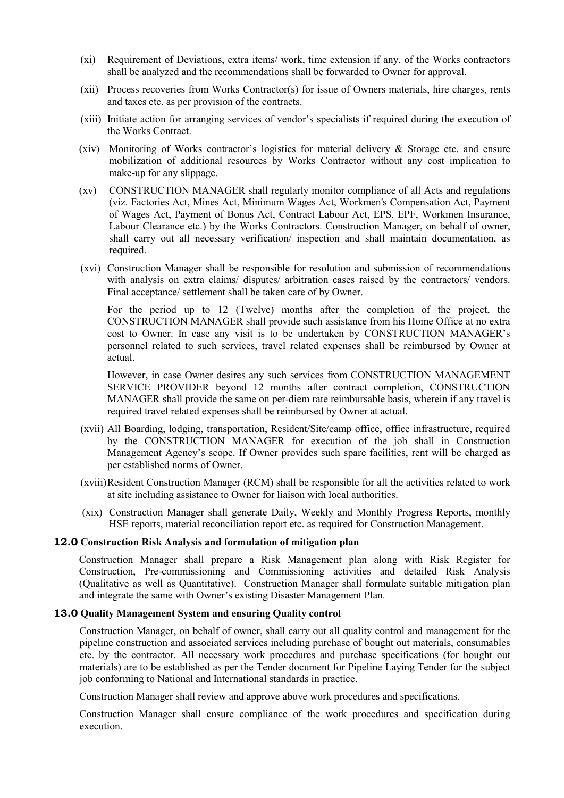- (xi) Requirement of Deviations, extra items/ work, time extension if any, of the Works contractors shall be analyzed and the recommendations shall be forwarded to Owner for approval.
- (xii) Process recoveries from Works Contractor(s) for issue of Owners materials, hire charges, rents and taxes etc. as per provision of the contracts.
- (xiii) Initiate action for arranging services of vendor's specialists if required during the execution of the Works Contract.
- (xiv) Monitoring of Works contractor's logistics for material delivery & Storage etc. and ensure mobilization of additional resources by Works Contractor without any cost implication to make-up for any slippage.
- (xv) CONSTRUCTION MANAGER shall regularly monitor compliance of all Acts and regulations (viz. Factories Act, Mines Act, Minimum Wages Act, Workmen's Compensation Act, Payment of Wages Act, Payment of Bonus Act, Contract Labour Act, EPS, EPF, Workmen Insurance, Labour Clearance etc.) by the Works Contractors. Construction Manager, on behalf of owner, shall carry out all necessary verification/ inspection and shall maintain documentation, as required.
- (xvi) Construction Manager shall be responsible for resolution and submission of recommendations with analysis on extra claims/ disputes/ arbitration cases raised by the contractors/ vendors. Final acceptance/ settlement shall be taken care of by Owner.

For the period up to 12 (Twelve) months after the completion of the project, the CONSTRUCTION MANAGER shall provide such assistance from his Home Office at no extra cost to Owner. In case any visit is to be undertaken by CONSTRUCTION MANAGER's personnel related to such services, travel related expenses shall be reimbursed by Owner at actual.

However, in case Owner desires any such services from CONSTRUCTION MANAGEMENT SERVICE PROVIDER beyond 12 months after contract completion, CONSTRUCTION MANAGER shall provide the same on per-diem rate reimbursable basis, wherein if any travel is required travel related expenses shall be reimbursed by Owner at actual.

- (xvii) All Boarding, lodging, transportation, Resident/Site/camp office, office infrastructure, required by the CONSTRUCTION MANAGER for execution of the job shall in Construction Management Agency's scope. If Owner provides such spare facilities, rent will be charged as per established norms of Owner.
- (xviii)Resident Construction Manager (RCM) shall be responsible for all the activities related to work at site including assistance to Owner for liaison with local authorities.
- (xix) Construction Manager shall generate Daily, Weekly and Monthly Progress Reports, monthly HSE reports, material reconciliation report etc. as required for Construction Management.

#### **12.0 Construction Risk Analysis and formulation of mitigation plan**

Construction Manager shall prepare a Risk Management plan along with Risk Register for Construction, Pre-commissioning and Commissioning activities and detailed Risk Analysis (Qualitative as well as Quantitative). Construction Manager shall formulate suitable mitigation plan and integrate the same with Owner's existing Disaster Management Plan.

#### **13.0 Quality Management System and ensuring Quality control**

Construction Manager, on behalf of owner, shall carry out all quality control and management for the pipeline construction and associated services including purchase of bought out materials, consumables etc. by the contractor. All necessary work procedures and purchase specifications (for bought out materials) are to be established as per the Tender document for Pipeline Laying Tender for the subject job conforming to National and International standards in practice.

Construction Manager shall review and approve above work procedures and specifications.

Construction Manager shall ensure compliance of the work procedures and specification during execution.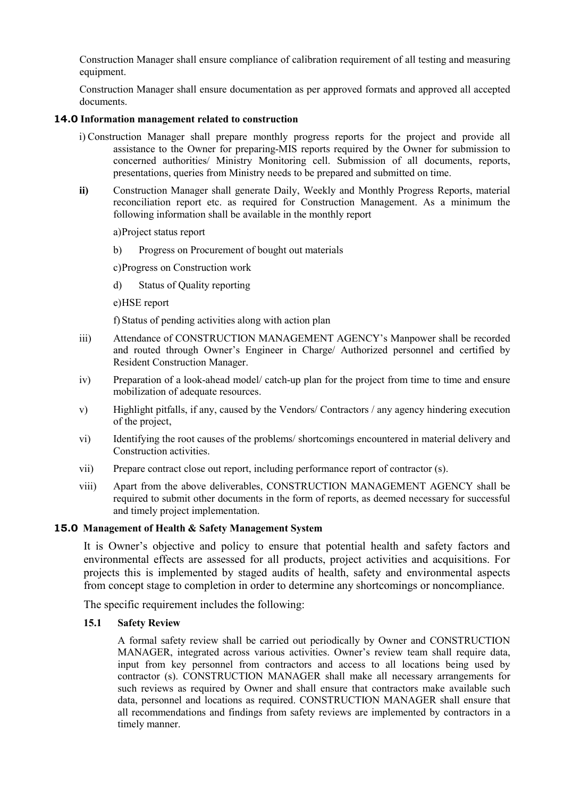Construction Manager shall ensure compliance of calibration requirement of all testing and measuring equipment.

Construction Manager shall ensure documentation as per approved formats and approved all accepted documents.

#### **14.0 Information management related to construction**

- i) Construction Manager shall prepare monthly progress reports for the project and provide all assistance to the Owner for preparing-MIS reports required by the Owner for submission to concerned authorities/ Ministry Monitoring cell. Submission of all documents, reports, presentations, queries from Ministry needs to be prepared and submitted on time.
- **ii)** Construction Manager shall generate Daily, Weekly and Monthly Progress Reports, material reconciliation report etc. as required for Construction Management. As a minimum the following information shall be available in the monthly report

a)Project status report

b) Progress on Procurement of bought out materials

c)Progress on Construction work

- d) Status of Quality reporting
- e)HSE report

f) Status of pending activities along with action plan

- iii) Attendance of CONSTRUCTION MANAGEMENT AGENCY's Manpower shall be recorded and routed through Owner's Engineer in Charge/ Authorized personnel and certified by Resident Construction Manager.
- iv) Preparation of a look-ahead model/ catch-up plan for the project from time to time and ensure mobilization of adequate resources.
- v) Highlight pitfalls, if any, caused by the Vendors/ Contractors / any agency hindering execution of the project,
- vi) Identifying the root causes of the problems/ shortcomings encountered in material delivery and Construction activities.
- vii) Prepare contract close out report, including performance report of contractor (s).
- viii) Apart from the above deliverables, CONSTRUCTION MANAGEMENT AGENCY shall be required to submit other documents in the form of reports, as deemed necessary for successful and timely project implementation.

#### **15.0 Management of Health & Safety Management System**

It is Owner's objective and policy to ensure that potential health and safety factors and environmental effects are assessed for all products, project activities and acquisitions. For projects this is implemented by staged audits of health, safety and environmental aspects from concept stage to completion in order to determine any shortcomings or noncompliance.

The specific requirement includes the following:

#### **15.1 Safety Review**

A formal safety review shall be carried out periodically by Owner and CONSTRUCTION MANAGER, integrated across various activities. Owner's review team shall require data, input from key personnel from contractors and access to all locations being used by contractor (s). CONSTRUCTION MANAGER shall make all necessary arrangements for such reviews as required by Owner and shall ensure that contractors make available such data, personnel and locations as required. CONSTRUCTION MANAGER shall ensure that all recommendations and findings from safety reviews are implemented by contractors in a timely manner.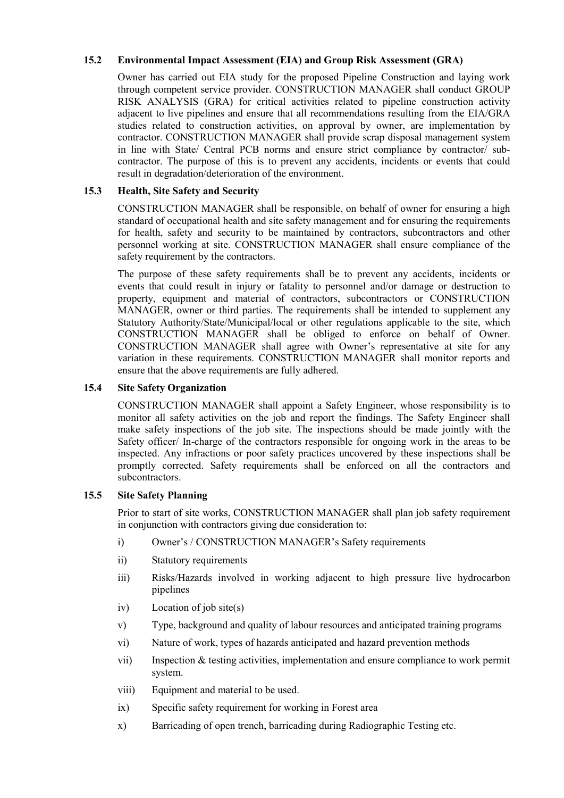## **15.2 Environmental Impact Assessment (EIA) and Group Risk Assessment (GRA)**

Owner has carried out EIA study for the proposed Pipeline Construction and laying work through competent service provider. CONSTRUCTION MANAGER shall conduct GROUP RISK ANALYSIS (GRA) for critical activities related to pipeline construction activity adjacent to live pipelines and ensure that all recommendations resulting from the EIA/GRA studies related to construction activities, on approval by owner, are implementation by contractor. CONSTRUCTION MANAGER shall provide scrap disposal management system in line with State/ Central PCB norms and ensure strict compliance by contractor/ subcontractor. The purpose of this is to prevent any accidents, incidents or events that could result in degradation/deterioration of the environment.

## **15.3 Health, Site Safety and Security**

CONSTRUCTION MANAGER shall be responsible, on behalf of owner for ensuring a high standard of occupational health and site safety management and for ensuring the requirements for health, safety and security to be maintained by contractors, subcontractors and other personnel working at site. CONSTRUCTION MANAGER shall ensure compliance of the safety requirement by the contractors.

The purpose of these safety requirements shall be to prevent any accidents, incidents or events that could result in injury or fatality to personnel and/or damage or destruction to property, equipment and material of contractors, subcontractors or CONSTRUCTION MANAGER, owner or third parties. The requirements shall be intended to supplement any Statutory Authority/State/Municipal/local or other regulations applicable to the site, which CONSTRUCTION MANAGER shall be obliged to enforce on behalf of Owner. CONSTRUCTION MANAGER shall agree with Owner's representative at site for any variation in these requirements. CONSTRUCTION MANAGER shall monitor reports and ensure that the above requirements are fully adhered.

## **15.4 Site Safety Organization**

CONSTRUCTION MANAGER shall appoint a Safety Engineer, whose responsibility is to monitor all safety activities on the job and report the findings. The Safety Engineer shall make safety inspections of the job site. The inspections should be made jointly with the Safety officer/ In-charge of the contractors responsible for ongoing work in the areas to be inspected. Any infractions or poor safety practices uncovered by these inspections shall be promptly corrected. Safety requirements shall be enforced on all the contractors and subcontractors.

#### **15.5 Site Safety Planning**

Prior to start of site works, CONSTRUCTION MANAGER shall plan job safety requirement in conjunction with contractors giving due consideration to:

- i) Owner's / CONSTRUCTION MANAGER's Safety requirements
- ii) Statutory requirements
- iii) Risks/Hazards involved in working adjacent to high pressure live hydrocarbon pipelines
- iv) Location of job site(s)
- v) Type, background and quality of labour resources and anticipated training programs
- vi) Nature of work, types of hazards anticipated and hazard prevention methods
- vii) Inspection & testing activities, implementation and ensure compliance to work permit system.
- viii) Equipment and material to be used.
- ix) Specific safety requirement for working in Forest area
- x) Barricading of open trench, barricading during Radiographic Testing etc.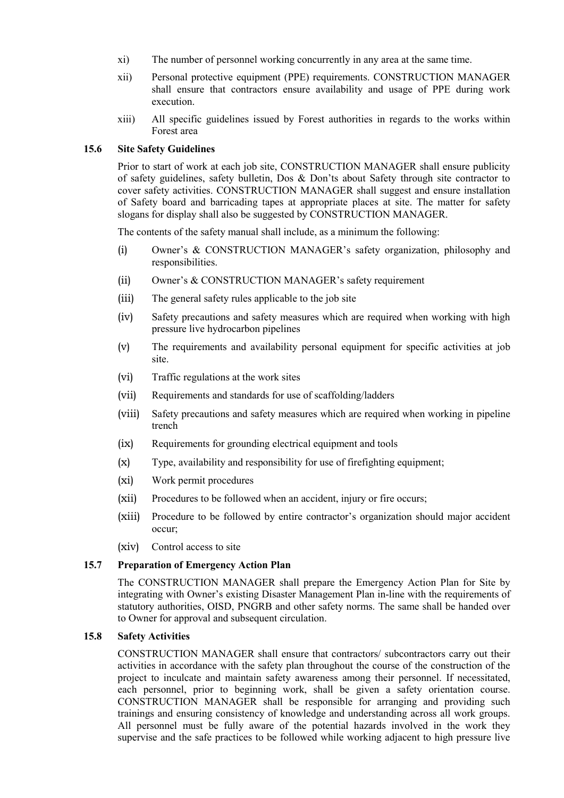- xi) The number of personnel working concurrently in any area at the same time.
- xii) Personal protective equipment (PPE) requirements. CONSTRUCTION MANAGER shall ensure that contractors ensure availability and usage of PPE during work execution.
- xiii) All specific guidelines issued by Forest authorities in regards to the works within Forest area

#### **15.6 Site Safety Guidelines**

Prior to start of work at each job site, CONSTRUCTION MANAGER shall ensure publicity of safety guidelines, safety bulletin, Dos & Don'ts about Safety through site contractor to cover safety activities. CONSTRUCTION MANAGER shall suggest and ensure installation of Safety board and barricading tapes at appropriate places at site. The matter for safety slogans for display shall also be suggested by CONSTRUCTION MANAGER.

The contents of the safety manual shall include, as a minimum the following:

- (i) Owner's & CONSTRUCTION MANAGER's safety organization, philosophy and responsibilities.
- (ii) Owner's & CONSTRUCTION MANAGER's safety requirement
- (iii) The general safety rules applicable to the job site
- (iv) Safety precautions and safety measures which are required when working with high pressure live hydrocarbon pipelines
- (v) The requirements and availability personal equipment for specific activities at job site.
- (vi) Traffic regulations at the work sites
- (vii) Requirements and standards for use of scaffolding/ladders
- (viii) Safety precautions and safety measures which are required when working in pipeline trench
- (ix) Requirements for grounding electrical equipment and tools
- (x) Type, availability and responsibility for use of firefighting equipment;
- (xi) Work permit procedures
- (xii) Procedures to be followed when an accident, injury or fire occurs;
- (xiii) Procedure to be followed by entire contractor's organization should major accident occur;
- (xiv) Control access to site

#### **15.7 Preparation of Emergency Action Plan**

The CONSTRUCTION MANAGER shall prepare the Emergency Action Plan for Site by integrating with Owner's existing Disaster Management Plan in-line with the requirements of statutory authorities, OISD, PNGRB and other safety norms. The same shall be handed over to Owner for approval and subsequent circulation.

#### **15.8 Safety Activities**

CONSTRUCTION MANAGER shall ensure that contractors/ subcontractors carry out their activities in accordance with the safety plan throughout the course of the construction of the project to inculcate and maintain safety awareness among their personnel. If necessitated, each personnel, prior to beginning work, shall be given a safety orientation course. CONSTRUCTION MANAGER shall be responsible for arranging and providing such trainings and ensuring consistency of knowledge and understanding across all work groups. All personnel must be fully aware of the potential hazards involved in the work they supervise and the safe practices to be followed while working adjacent to high pressure live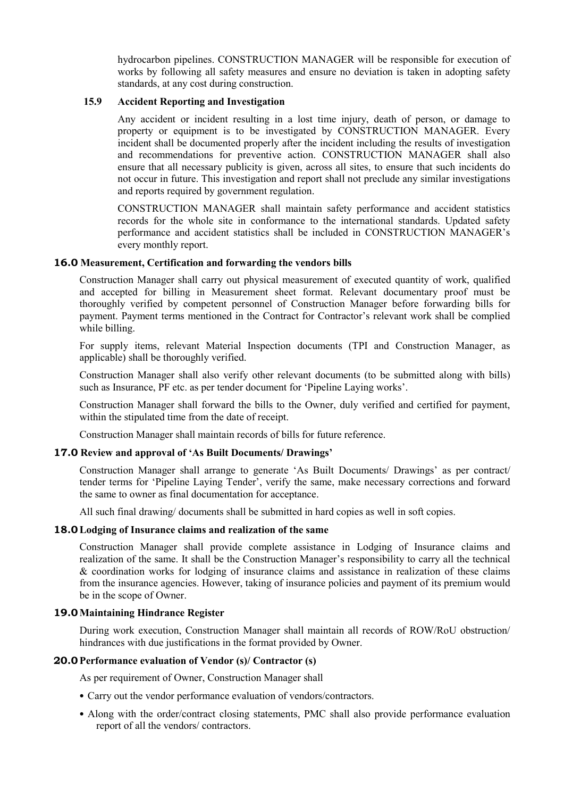hydrocarbon pipelines. CONSTRUCTION MANAGER will be responsible for execution of works by following all safety measures and ensure no deviation is taken in adopting safety standards, at any cost during construction.

#### **15.9 Accident Reporting and Investigation**

Any accident or incident resulting in a lost time injury, death of person, or damage to property or equipment is to be investigated by CONSTRUCTION MANAGER. Every incident shall be documented properly after the incident including the results of investigation and recommendations for preventive action. CONSTRUCTION MANAGER shall also ensure that all necessary publicity is given, across all sites, to ensure that such incidents do not occur in future. This investigation and report shall not preclude any similar investigations and reports required by government regulation.

CONSTRUCTION MANAGER shall maintain safety performance and accident statistics records for the whole site in conformance to the international standards. Updated safety performance and accident statistics shall be included in CONSTRUCTION MANAGER's every monthly report.

#### **16.0 Measurement, Certification and forwarding the vendors bills**

Construction Manager shall carry out physical measurement of executed quantity of work, qualified and accepted for billing in Measurement sheet format. Relevant documentary proof must be thoroughly verified by competent personnel of Construction Manager before forwarding bills for payment. Payment terms mentioned in the Contract for Contractor's relevant work shall be complied while billing.

For supply items, relevant Material Inspection documents (TPI and Construction Manager, as applicable) shall be thoroughly verified.

Construction Manager shall also verify other relevant documents (to be submitted along with bills) such as Insurance, PF etc. as per tender document for 'Pipeline Laying works'.

Construction Manager shall forward the bills to the Owner, duly verified and certified for payment, within the stipulated time from the date of receipt.

Construction Manager shall maintain records of bills for future reference.

#### **17.0 Review and approval of 'As Built Documents/ Drawings'**

Construction Manager shall arrange to generate 'As Built Documents/ Drawings' as per contract/ tender terms for 'Pipeline Laying Tender', verify the same, make necessary corrections and forward the same to owner as final documentation for acceptance.

All such final drawing/ documents shall be submitted in hard copies as well in soft copies.

#### **18.0Lodging of Insurance claims and realization of the same**

Construction Manager shall provide complete assistance in Lodging of Insurance claims and realization of the same. It shall be the Construction Manager's responsibility to carry all the technical & coordination works for lodging of insurance claims and assistance in realization of these claims from the insurance agencies. However, taking of insurance policies and payment of its premium would be in the scope of Owner.

#### **19.0Maintaining Hindrance Register**

During work execution, Construction Manager shall maintain all records of ROW/RoU obstruction/ hindrances with due justifications in the format provided by Owner.

### **20.0Performance evaluation of Vendor (s)/ Contractor (s)**

As per requirement of Owner, Construction Manager shall

- Carry out the vendor performance evaluation of vendors/contractors.
- Along with the order/contract closing statements, PMC shall also provide performance evaluation report of all the vendors/ contractors.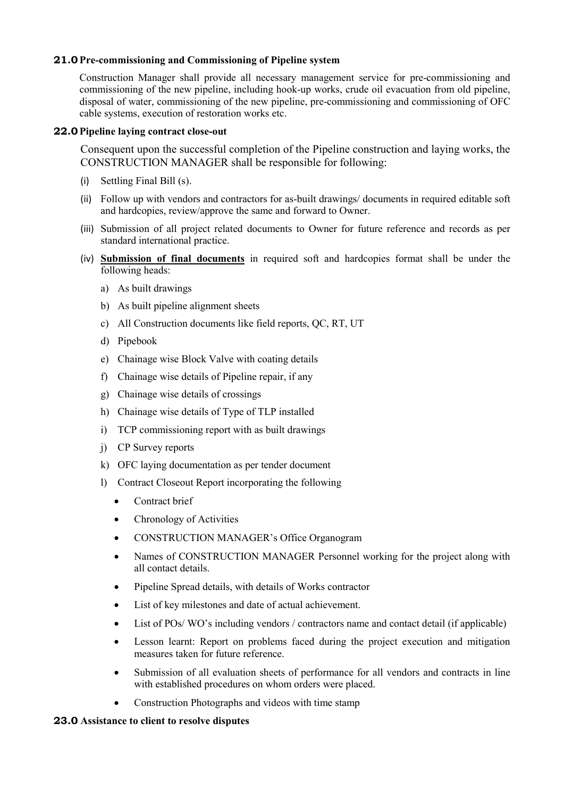## **21.0Pre-commissioning and Commissioning of Pipeline system**

Construction Manager shall provide all necessary management service for pre-commissioning and commissioning of the new pipeline, including hook-up works, crude oil evacuation from old pipeline, disposal of water, commissioning of the new pipeline, pre-commissioning and commissioning of OFC cable systems, execution of restoration works etc.

## **22.0Pipeline laying contract close-out**

Consequent upon the successful completion of the Pipeline construction and laying works, the CONSTRUCTION MANAGER shall be responsible for following:

- (i) Settling Final Bill (s).
- (ii) Follow up with vendors and contractors for as-built drawings/ documents in required editable soft and hardcopies, review/approve the same and forward to Owner.
- (iii) Submission of all project related documents to Owner for future reference and records as per standard international practice.
- (iv) **Submission of final documents** in required soft and hardcopies format shall be under the following heads:
	- a) As built drawings
	- b) As built pipeline alignment sheets
	- c) All Construction documents like field reports, QC, RT, UT
	- d) Pipebook
	- e) Chainage wise Block Valve with coating details
	- f) Chainage wise details of Pipeline repair, if any
	- g) Chainage wise details of crossings
	- h) Chainage wise details of Type of TLP installed
	- i) TCP commissioning report with as built drawings
	- j) CP Survey reports
	- k) OFC laying documentation as per tender document
	- l) Contract Closeout Report incorporating the following
		- Contract brief
		- Chronology of Activities
		- CONSTRUCTION MANAGER's Office Organogram
		- Names of CONSTRUCTION MANAGER Personnel working for the project along with all contact details.
		- Pipeline Spread details, with details of Works contractor
		- List of key milestones and date of actual achievement.
		- List of POs/WO's including vendors / contractors name and contact detail (if applicable)
		- Lesson learnt: Report on problems faced during the project execution and mitigation measures taken for future reference.
		- Submission of all evaluation sheets of performance for all vendors and contracts in line with established procedures on whom orders were placed.
		- Construction Photographs and videos with time stamp

#### **23.0 Assistance to client to resolve disputes**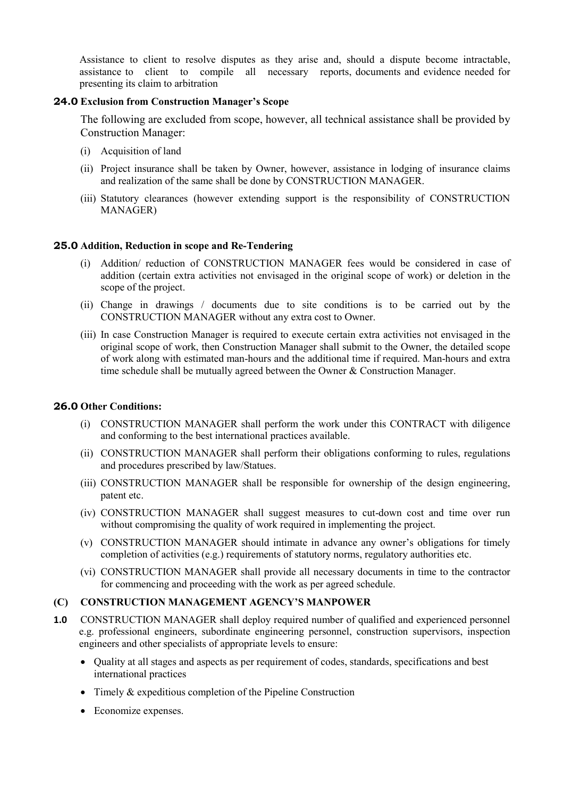Assistance to client to resolve disputes as they arise and, should a dispute become intractable, assistance to client to compile all necessary reports, documents and evidence needed for presenting its claim to arbitration

## **24.0 Exclusion from Construction Manager's Scope**

The following are excluded from scope, however, all technical assistance shall be provided by Construction Manager:

- (i) Acquisition of land
- (ii) Project insurance shall be taken by Owner, however, assistance in lodging of insurance claims and realization of the same shall be done by CONSTRUCTION MANAGER.
- (iii) Statutory clearances (however extending support is the responsibility of CONSTRUCTION MANAGER)

## **25.0 Addition, Reduction in scope and Re-Tendering**

- (i) Addition/ reduction of CONSTRUCTION MANAGER fees would be considered in case of addition (certain extra activities not envisaged in the original scope of work) or deletion in the scope of the project.
- (ii) Change in drawings / documents due to site conditions is to be carried out by the CONSTRUCTION MANAGER without any extra cost to Owner.
- (iii) In case Construction Manager is required to execute certain extra activities not envisaged in the original scope of work, then Construction Manager shall submit to the Owner, the detailed scope of work along with estimated man-hours and the additional time if required. Man-hours and extra time schedule shall be mutually agreed between the Owner & Construction Manager.

#### **26.0 Other Conditions:**

- (i) CONSTRUCTION MANAGER shall perform the work under this CONTRACT with diligence and conforming to the best international practices available.
- (ii) CONSTRUCTION MANAGER shall perform their obligations conforming to rules, regulations and procedures prescribed by law/Statues.
- (iii) CONSTRUCTION MANAGER shall be responsible for ownership of the design engineering, patent etc.
- (iv) CONSTRUCTION MANAGER shall suggest measures to cut-down cost and time over run without compromising the quality of work required in implementing the project.
- (v) CONSTRUCTION MANAGER should intimate in advance any owner's obligations for timely completion of activities (e.g.) requirements of statutory norms, regulatory authorities etc.
- (vi) CONSTRUCTION MANAGER shall provide all necessary documents in time to the contractor for commencing and proceeding with the work as per agreed schedule.

#### **(C) CONSTRUCTION MANAGEMENT AGENCY'S MANPOWER**

- **1.0** CONSTRUCTION MANAGER shall deploy required number of qualified and experienced personnel e.g. professional engineers, subordinate engineering personnel, construction supervisors, inspection engineers and other specialists of appropriate levels to ensure:
	- Quality at all stages and aspects as per requirement of codes, standards, specifications and best international practices
	- Timely & expeditious completion of the Pipeline Construction
	- Economize expenses.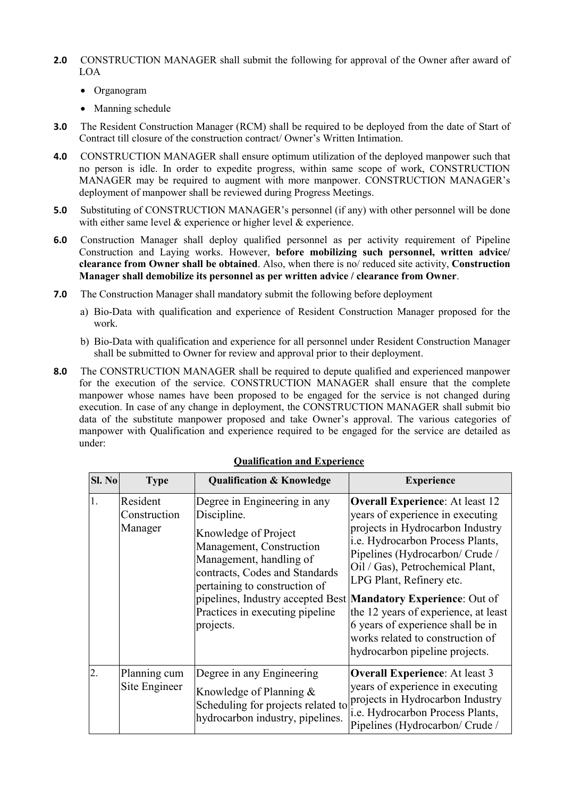- **2.0** CONSTRUCTION MANAGER shall submit the following for approval of the Owner after award of LOA
	- Organogram
	- Manning schedule
- **3.0** The Resident Construction Manager (RCM) shall be required to be deployed from the date of Start of Contract till closure of the construction contract/ Owner's Written Intimation.
- **4.0** CONSTRUCTION MANAGER shall ensure optimum utilization of the deployed manpower such that no person is idle. In order to expedite progress, within same scope of work, CONSTRUCTION MANAGER may be required to augment with more manpower. CONSTRUCTION MANAGER's deployment of manpower shall be reviewed during Progress Meetings.
- **5.0** Substituting of CONSTRUCTION MANAGER's personnel (if any) with other personnel will be done with either same level & experience or higher level & experience.
- **6.0** Construction Manager shall deploy qualified personnel as per activity requirement of Pipeline Construction and Laying works. However, **before mobilizing such personnel, written advice/ clearance from Owner shall be obtained**. Also, when there is no/ reduced site activity, **Construction Manager shall demobilize its personnel as per written advice / clearance from Owner**.
- **7.0** The Construction Manager shall mandatory submit the following before deployment
	- a) Bio-Data with qualification and experience of Resident Construction Manager proposed for the work.
	- b) Bio-Data with qualification and experience for all personnel under Resident Construction Manager shall be submitted to Owner for review and approval prior to their deployment.
- **8.0** The CONSTRUCTION MANAGER shall be required to depute qualified and experienced manpower for the execution of the service. CONSTRUCTION MANAGER shall ensure that the complete manpower whose names have been proposed to be engaged for the service is not changed during execution. In case of any change in deployment, the CONSTRUCTION MANAGER shall submit bio data of the substitute manpower proposed and take Owner's approval. The various categories of manpower with Qualification and experience required to be engaged for the service are detailed as under:

| <b>Sl. No</b>    | <b>Type</b>                         | <b>Qualification &amp; Knowledge</b>                                                                                                                                                                                                                                                                            | <b>Experience</b>                                                                                                                                                                                                                                                                                                                                                                                        |
|------------------|-------------------------------------|-----------------------------------------------------------------------------------------------------------------------------------------------------------------------------------------------------------------------------------------------------------------------------------------------------------------|----------------------------------------------------------------------------------------------------------------------------------------------------------------------------------------------------------------------------------------------------------------------------------------------------------------------------------------------------------------------------------------------------------|
| 1.               | Resident<br>Construction<br>Manager | Degree in Engineering in any<br>Discipline.<br>Knowledge of Project<br>Management, Construction<br>Management, handling of<br>contracts, Codes and Standards<br>pertaining to construction of<br>pipelines, Industry accepted Best Mandatory Experience: Out of<br>Practices in executing pipeline<br>projects. | <b>Overall Experience:</b> At least 12<br>years of experience in executing<br>projects in Hydrocarbon Industry<br>i.e. Hydrocarbon Process Plants,<br>Pipelines (Hydrocarbon/ Crude /<br>Oil / Gas), Petrochemical Plant,<br>LPG Plant, Refinery etc.<br>the 12 years of experience, at least<br>6 years of experience shall be in<br>works related to construction of<br>hydrocarbon pipeline projects. |
| $\overline{2}$ . | Planning cum<br>Site Engineer       | Degree in any Engineering<br>Knowledge of Planning $\&$<br>Scheduling for projects related to<br>hydrocarbon industry, pipelines.                                                                                                                                                                               | <b>Overall Experience:</b> At least 3<br>years of experience in executing<br>projects in Hydrocarbon Industry<br>i.e. Hydrocarbon Process Plants,<br>Pipelines (Hydrocarbon/ Crude /                                                                                                                                                                                                                     |

#### **Qualification and Experience**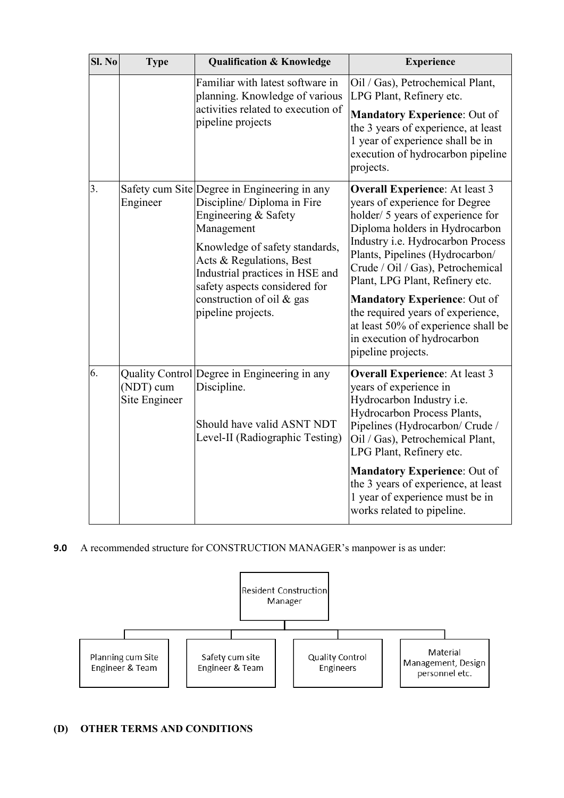| Sl. No           | <b>Type</b>                | <b>Qualification &amp; Knowledge</b>                                                                                                                                                                                                                                                                   | <b>Experience</b>                                                                                                                                                                                                                                                                                                                                                                                                                                                      |
|------------------|----------------------------|--------------------------------------------------------------------------------------------------------------------------------------------------------------------------------------------------------------------------------------------------------------------------------------------------------|------------------------------------------------------------------------------------------------------------------------------------------------------------------------------------------------------------------------------------------------------------------------------------------------------------------------------------------------------------------------------------------------------------------------------------------------------------------------|
|                  |                            | Familiar with latest software in<br>planning. Knowledge of various<br>activities related to execution of<br>pipeline projects                                                                                                                                                                          | Oil / Gas), Petrochemical Plant,<br>LPG Plant, Refinery etc.<br><b>Mandatory Experience: Out of</b><br>the 3 years of experience, at least<br>1 year of experience shall be in<br>execution of hydrocarbon pipeline<br>projects.                                                                                                                                                                                                                                       |
| $\overline{3}$ . | Engineer                   | Safety cum Site Degree in Engineering in any<br>Discipline/ Diploma in Fire<br>Engineering & Safety<br>Management<br>Knowledge of safety standards,<br>Acts & Regulations, Best<br>Industrial practices in HSE and<br>safety aspects considered for<br>construction of oil & gas<br>pipeline projects. | <b>Overall Experience:</b> At least 3<br>years of experience for Degree<br>holder/ 5 years of experience for<br>Diploma holders in Hydrocarbon<br>Industry i.e. Hydrocarbon Process<br>Plants, Pipelines (Hydrocarbon/<br>Crude / Oil / Gas), Petrochemical<br>Plant, LPG Plant, Refinery etc.<br><b>Mandatory Experience: Out of</b><br>the required years of experience,<br>at least 50% of experience shall be<br>in execution of hydrocarbon<br>pipeline projects. |
| 6.               | (NDT) cum<br>Site Engineer | Quality Control Degree in Engineering in any<br>Discipline.<br>Should have valid ASNT NDT<br>Level-II (Radiographic Testing)                                                                                                                                                                           | <b>Overall Experience:</b> At least 3<br>years of experience in<br>Hydrocarbon Industry i.e.<br>Hydrocarbon Process Plants,<br>Pipelines (Hydrocarbon/ Crude /<br>Oil / Gas), Petrochemical Plant,<br>LPG Plant, Refinery etc.<br><b>Mandatory Experience: Out of</b><br>the 3 years of experience, at least                                                                                                                                                           |
|                  |                            |                                                                                                                                                                                                                                                                                                        | 1 year of experience must be in<br>works related to pipeline.                                                                                                                                                                                                                                                                                                                                                                                                          |

**9.0** A recommended structure for CONSTRUCTION MANAGER's manpower is as under:



# **(D) OTHER TERMS AND CONDITIONS**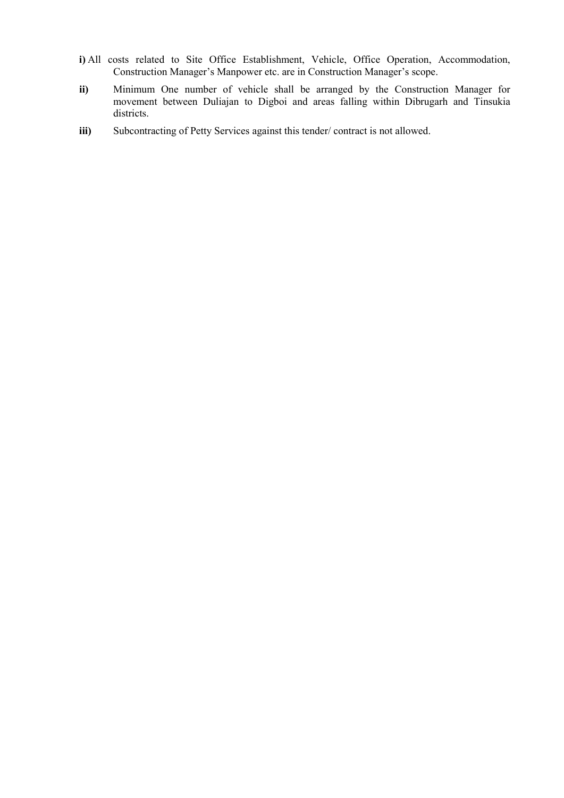- **i)** All costs related to Site Office Establishment, Vehicle, Office Operation, Accommodation, Construction Manager's Manpower etc. are in Construction Manager's scope.
- **ii)** Minimum One number of vehicle shall be arranged by the Construction Manager for movement between Duliajan to Digboi and areas falling within Dibrugarh and Tinsukia districts.
- **iii)** Subcontracting of Petty Services against this tender/ contract is not allowed.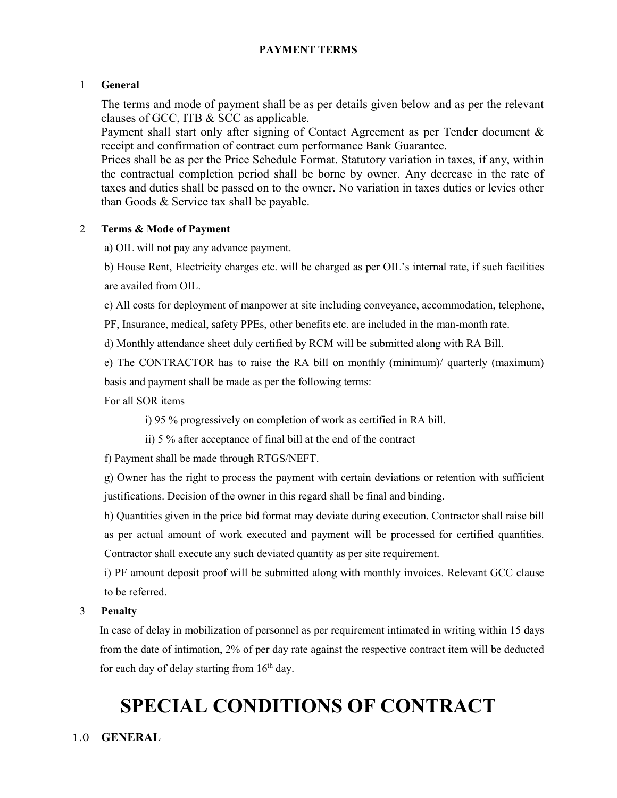# **PAYMENT TERMS**

## 1 **General**

The terms and mode of payment shall be as per details given below and as per the relevant clauses of GCC, ITB & SCC as applicable.

Payment shall start only after signing of Contact Agreement as per Tender document & receipt and confirmation of contract cum performance Bank Guarantee.

Prices shall be as per the Price Schedule Format. Statutory variation in taxes, if any, within the contractual completion period shall be borne by owner. Any decrease in the rate of taxes and duties shall be passed on to the owner. No variation in taxes duties or levies other than Goods & Service tax shall be payable.

#### 2 **Terms & Mode of Payment**

a) OIL will not pay any advance payment.

b) House Rent, Electricity charges etc. will be charged as per OIL's internal rate, if such facilities are availed from OIL.

c) All costs for deployment of manpower at site including conveyance, accommodation, telephone,

PF, Insurance, medical, safety PPEs, other benefits etc. are included in the man-month rate.

d) Monthly attendance sheet duly certified by RCM will be submitted along with RA Bill.

e) The CONTRACTOR has to raise the RA bill on monthly (minimum)/ quarterly (maximum) basis and payment shall be made as per the following terms:

For all SOR items

i) 95 % progressively on completion of work as certified in RA bill.

ii) 5 % after acceptance of final bill at the end of the contract

f) Payment shall be made through RTGS/NEFT.

g) Owner has the right to process the payment with certain deviations or retention with sufficient justifications. Decision of the owner in this regard shall be final and binding.

h) Quantities given in the price bid format may deviate during execution. Contractor shall raise bill as per actual amount of work executed and payment will be processed for certified quantities. Contractor shall execute any such deviated quantity as per site requirement.

i) PF amount deposit proof will be submitted along with monthly invoices. Relevant GCC clause to be referred.

# 3 **Penalty**

In case of delay in mobilization of personnel as per requirement intimated in writing within 15 days from the date of intimation, 2% of per day rate against the respective contract item will be deducted for each day of delay starting from  $16<sup>th</sup>$  day.

# **SPECIAL CONDITIONS OF CONTRACT**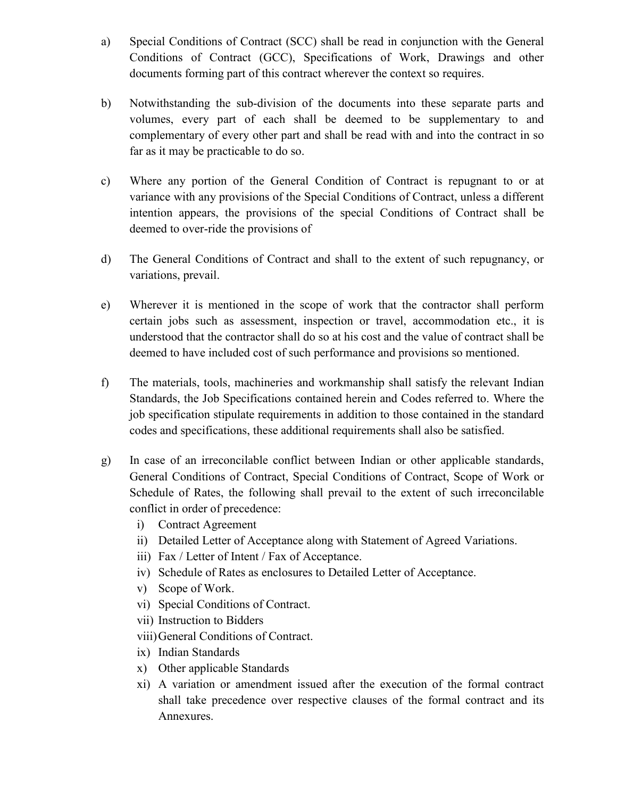- a) Special Conditions of Contract (SCC) shall be read in conjunction with the General Conditions of Contract (GCC), Specifications of Work, Drawings and other documents forming part of this contract wherever the context so requires.
- b) Notwithstanding the sub-division of the documents into these separate parts and volumes, every part of each shall be deemed to be supplementary to and complementary of every other part and shall be read with and into the contract in so far as it may be practicable to do so.
- c) Where any portion of the General Condition of Contract is repugnant to or at variance with any provisions of the Special Conditions of Contract, unless a different intention appears, the provisions of the special Conditions of Contract shall be deemed to over-ride the provisions of
- d) The General Conditions of Contract and shall to the extent of such repugnancy, or variations, prevail.
- e) Wherever it is mentioned in the scope of work that the contractor shall perform certain jobs such as assessment, inspection or travel, accommodation etc., it is understood that the contractor shall do so at his cost and the value of contract shall be deemed to have included cost of such performance and provisions so mentioned.
- f) The materials, tools, machineries and workmanship shall satisfy the relevant Indian Standards, the Job Specifications contained herein and Codes referred to. Where the job specification stipulate requirements in addition to those contained in the standard codes and specifications, these additional requirements shall also be satisfied.
- g) In case of an irreconcilable conflict between Indian or other applicable standards, General Conditions of Contract, Special Conditions of Contract, Scope of Work or Schedule of Rates, the following shall prevail to the extent of such irreconcilable conflict in order of precedence:
	- i) Contract Agreement
	- ii) Detailed Letter of Acceptance along with Statement of Agreed Variations.
	- iii) Fax / Letter of Intent / Fax of Acceptance.
	- iv) Schedule of Rates as enclosures to Detailed Letter of Acceptance.
	- v) Scope of Work.
	- vi) Special Conditions of Contract.
	- vii) Instruction to Bidders
	- viii)General Conditions of Contract.
	- ix) Indian Standards
	- x) Other applicable Standards
	- xi) A variation or amendment issued after the execution of the formal contract shall take precedence over respective clauses of the formal contract and its Annexures.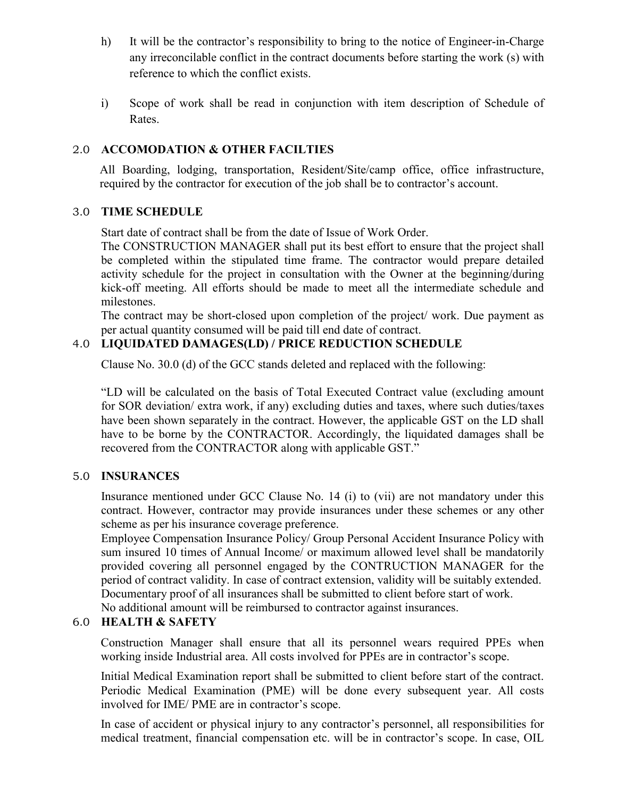- h) It will be the contractor's responsibility to bring to the notice of Engineer-in-Charge any irreconcilable conflict in the contract documents before starting the work (s) with reference to which the conflict exists.
- i) Scope of work shall be read in conjunction with item description of Schedule of Rates.

# 2.0 **ACCOMODATION & OTHER FACILTIES**

All Boarding, lodging, transportation, Resident/Site/camp office, office infrastructure, required by the contractor for execution of the job shall be to contractor's account.

# 3.0 **TIME SCHEDULE**

Start date of contract shall be from the date of Issue of Work Order.

The CONSTRUCTION MANAGER shall put its best effort to ensure that the project shall be completed within the stipulated time frame. The contractor would prepare detailed activity schedule for the project in consultation with the Owner at the beginning/during kick-off meeting. All efforts should be made to meet all the intermediate schedule and milestones.

The contract may be short-closed upon completion of the project/ work. Due payment as per actual quantity consumed will be paid till end date of contract.

# 4.0 **LIQUIDATED DAMAGES(LD) / PRICE REDUCTION SCHEDULE**

Clause No. 30.0 (d) of the GCC stands deleted and replaced with the following:

"LD will be calculated on the basis of Total Executed Contract value (excluding amount for SOR deviation/ extra work, if any) excluding duties and taxes, where such duties/taxes have been shown separately in the contract. However, the applicable GST on the LD shall have to be borne by the CONTRACTOR. Accordingly, the liquidated damages shall be recovered from the CONTRACTOR along with applicable GST."

# 5.0 **INSURANCES**

Insurance mentioned under GCC Clause No. 14 (i) to (vii) are not mandatory under this contract. However, contractor may provide insurances under these schemes or any other scheme as per his insurance coverage preference.

Employee Compensation Insurance Policy/ Group Personal Accident Insurance Policy with sum insured 10 times of Annual Income/ or maximum allowed level shall be mandatorily provided covering all personnel engaged by the CONTRUCTION MANAGER for the period of contract validity. In case of contract extension, validity will be suitably extended. Documentary proof of all insurances shall be submitted to client before start of work. No additional amount will be reimbursed to contractor against insurances.

# 6.0 **HEALTH & SAFETY**

Construction Manager shall ensure that all its personnel wears required PPEs when working inside Industrial area. All costs involved for PPEs are in contractor's scope.

Initial Medical Examination report shall be submitted to client before start of the contract. Periodic Medical Examination (PME) will be done every subsequent year. All costs involved for IME/ PME are in contractor's scope.

In case of accident or physical injury to any contractor's personnel, all responsibilities for medical treatment, financial compensation etc. will be in contractor's scope. In case, OIL